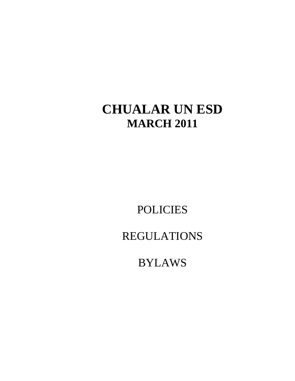# **CHUALAR UN ESD MARCH 2011**

POLICIES

REGULATIONS

BYLAWS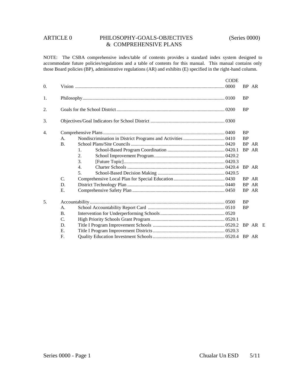# ARTICLE 0 PHILOSOPHY-GOALS-OBJECTIVES (Series 0000) & COMPREHENSIVE PLANS

NOTE: The CSBA comprehensive index/table of contents provides a standard index system designed to accommodate future policies/regulations and a table of contents for this manual. This manual contains only those Board policies (BP), administrative regulations (AR) and exhibits (E) specified in the right-hand column.

|    |                 |    | <b>CODE</b> |           |       |  |
|----|-----------------|----|-------------|-----------|-------|--|
| 0. |                 |    |             | BP AR     |       |  |
| 1. |                 |    |             | <b>BP</b> |       |  |
| 2. |                 |    |             | <b>BP</b> |       |  |
| 3. |                 |    |             |           |       |  |
| 4. |                 |    |             | <b>BP</b> |       |  |
|    | A.              |    |             | <b>BP</b> |       |  |
|    | <b>B.</b>       |    |             |           | BP AR |  |
|    |                 | 1. |             | BP AR     |       |  |
|    |                 | 2. |             |           |       |  |
|    |                 | 3. |             |           |       |  |
|    |                 | 4. |             | BP AR     |       |  |
|    |                 | 5. |             |           |       |  |
|    | $\mathcal{C}$ . |    |             |           | BP AR |  |
|    | D.              |    |             |           | BP AR |  |
|    | Ε.              |    |             | BP AR     |       |  |
| 5. |                 |    |             | <b>BP</b> |       |  |
|    | A.              |    |             | <b>BP</b> |       |  |
|    | <b>B.</b>       |    |             |           |       |  |
|    | $\mathcal{C}$   |    |             |           |       |  |
|    | D.              |    |             |           |       |  |
|    | E.              |    |             |           |       |  |
|    | $F_{\cdot}$     |    |             |           |       |  |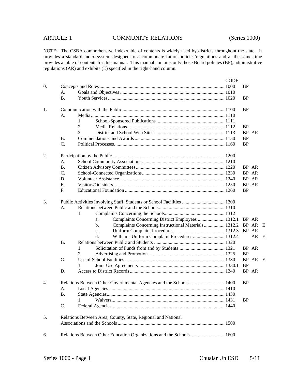|    |           |                                                                        | <b>CODE</b> |           |         |  |
|----|-----------|------------------------------------------------------------------------|-------------|-----------|---------|--|
| 0. |           |                                                                        |             | <b>BP</b> |         |  |
|    | A.        |                                                                        |             |           |         |  |
|    | <b>B.</b> |                                                                        |             | <b>BP</b> |         |  |
| 1. |           |                                                                        |             | <b>BP</b> |         |  |
|    | A.        |                                                                        |             |           |         |  |
|    |           | 1.                                                                     |             |           |         |  |
|    |           | 2.                                                                     |             | <b>BP</b> |         |  |
|    |           | 3.                                                                     |             |           | BP AR   |  |
|    | <b>B.</b> |                                                                        |             | <b>BP</b> |         |  |
|    | C.        |                                                                        |             | <b>BP</b> |         |  |
| 2. |           |                                                                        |             |           |         |  |
|    | A.        |                                                                        |             |           |         |  |
|    | <b>B.</b> |                                                                        |             |           | BP AR   |  |
|    | C.        |                                                                        |             |           | BP AR   |  |
|    | D.        |                                                                        |             |           | BP AR   |  |
|    | Ε.        |                                                                        |             | <b>BP</b> | AR      |  |
|    | F.        |                                                                        |             | <b>BP</b> |         |  |
| 3. |           | Public Activities Involving Staff, Students or School Facilities  1300 |             |           |         |  |
|    | A.        |                                                                        |             |           |         |  |
|    |           | 1.                                                                     |             |           |         |  |
|    |           | Complaints Concerning District Employees  1312.1<br>a.                 |             |           | BP AR   |  |
|    |           | Complaints Concerning Instructional Materials 1312.2<br>$b$ .          |             |           | BP AR E |  |
|    |           | c.                                                                     |             |           | BP AR   |  |
|    |           | Williams Uniform Complaint Procedures 1312.4<br>d.                     |             |           | AR E    |  |
|    | <b>B.</b> |                                                                        |             |           |         |  |
|    |           | 1.                                                                     |             |           | BP AR   |  |
|    |           | 2.                                                                     |             | <b>BP</b> |         |  |
|    | C.        |                                                                        |             |           | BP AR E |  |
|    |           | 1.                                                                     |             | <b>BP</b> |         |  |
|    | D.        |                                                                        |             |           | BP AR   |  |
| 4. |           | Relations Between Other Governmental Agencies and the Schools 1400     |             | <b>BP</b> |         |  |
|    | A.        |                                                                        |             |           |         |  |
|    | <b>B.</b> |                                                                        |             |           |         |  |
|    |           | 1.                                                                     |             | <b>BP</b> |         |  |
|    | C.        |                                                                        |             |           |         |  |
| 5. |           | Relations Between Area, County, State, Regional and National           |             |           |         |  |
|    |           |                                                                        |             |           |         |  |
| 6. |           | Relations Between Other Education Organizations and the Schools  1600  |             |           |         |  |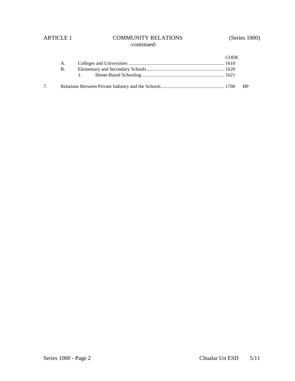# ARTICLE 1 COMMUNITY RELATIONS (Series 1000) -continued-

|    |    | CODE |  |
|----|----|------|--|
|    | A. |      |  |
|    | B. |      |  |
|    |    |      |  |
| 7. |    |      |  |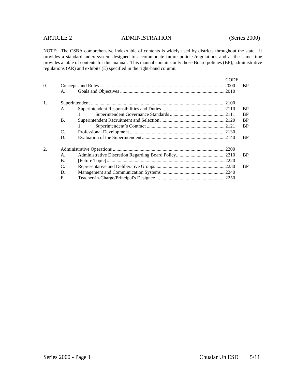# ARTICLE 2 ADMINISTRATION (Series 2000)

| $\Omega$ . | A.        |    | CODE<br>2000 | BP.       |
|------------|-----------|----|--------------|-----------|
| 1.         |           |    |              |           |
|            | A.        |    |              | <b>BP</b> |
|            |           | 1. |              | <b>BP</b> |
|            | <b>B.</b> |    |              | <b>BP</b> |
|            |           |    |              | <b>BP</b> |
|            | C.        |    |              |           |
|            | D.        |    |              | BP.       |
| 2.         |           |    |              |           |
|            | A.        |    |              | BP.       |
|            | <b>B.</b> |    |              |           |
|            | C.        |    |              | BP.       |
|            | D.        |    |              |           |
|            | Е.        |    |              |           |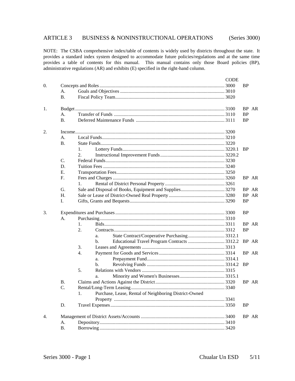# ARTICLE 3 BUSINESS & NONINSTRUCTIONAL OPERATIONS (Series 3000)

|    |           | <b>CODE</b>                                           |           |                |  |  |  |
|----|-----------|-------------------------------------------------------|-----------|----------------|--|--|--|
| 0. |           |                                                       | <b>BP</b> |                |  |  |  |
|    | A.        |                                                       |           |                |  |  |  |
|    | <b>B.</b> |                                                       |           |                |  |  |  |
|    |           |                                                       |           |                |  |  |  |
| 1. |           |                                                       |           | BP AR          |  |  |  |
|    | A.        |                                                       | <b>BP</b> |                |  |  |  |
|    | <b>B.</b> |                                                       | <b>BP</b> |                |  |  |  |
|    |           |                                                       |           |                |  |  |  |
| 2. |           |                                                       |           |                |  |  |  |
|    | A.        |                                                       |           |                |  |  |  |
|    | <b>B.</b> |                                                       |           |                |  |  |  |
|    |           | 1.                                                    | <b>BP</b> |                |  |  |  |
|    |           | 2.                                                    |           |                |  |  |  |
|    | C.        |                                                       |           |                |  |  |  |
|    | D.        |                                                       |           |                |  |  |  |
|    | Е.        |                                                       |           |                |  |  |  |
|    | F.        |                                                       |           | BP AR          |  |  |  |
|    |           | 1.                                                    |           |                |  |  |  |
|    | G.        |                                                       |           |                |  |  |  |
|    | Η.        |                                                       |           | BP AR<br>BP AR |  |  |  |
|    | I.        |                                                       | <b>BP</b> |                |  |  |  |
|    |           |                                                       |           |                |  |  |  |
| 3. |           |                                                       |           |                |  |  |  |
|    | A.        |                                                       |           |                |  |  |  |
|    |           | 1.                                                    |           | BP AR          |  |  |  |
|    |           | 2.                                                    | <b>BP</b> |                |  |  |  |
|    |           | a.                                                    |           |                |  |  |  |
|    |           | Educational Travel Program Contracts  3312.2<br>b.    |           | BP AR          |  |  |  |
|    |           | 3.                                                    |           |                |  |  |  |
|    |           | 4.                                                    |           | BP AR          |  |  |  |
|    |           | a.                                                    |           |                |  |  |  |
|    |           | b.                                                    | <b>BP</b> |                |  |  |  |
|    |           | 5.                                                    |           |                |  |  |  |
|    |           | a.                                                    |           |                |  |  |  |
|    | <b>B.</b> |                                                       |           | BP AR          |  |  |  |
|    | C.        |                                                       |           |                |  |  |  |
|    |           | Purchase, Lease, Rental of Neighboring District-Owned |           |                |  |  |  |
|    |           |                                                       |           |                |  |  |  |
|    | D.        |                                                       | <b>BP</b> |                |  |  |  |
|    |           |                                                       |           |                |  |  |  |
| 4. |           |                                                       |           | BP AR          |  |  |  |
|    | A.        |                                                       |           |                |  |  |  |
|    | <b>B.</b> |                                                       |           |                |  |  |  |
|    |           |                                                       |           |                |  |  |  |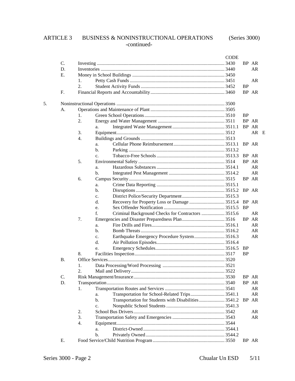# ARTICLE 3 BUSINESS & NONINSTRUCTIONAL OPERATIONS (Series 3000) -continued-

|    |           |                  |                |                                                      | <b>CODE</b> |           |       |  |
|----|-----------|------------------|----------------|------------------------------------------------------|-------------|-----------|-------|--|
|    | C.        |                  |                |                                                      |             |           | BP AR |  |
|    | D.        |                  |                |                                                      |             |           | AR    |  |
|    | Ε.        |                  |                |                                                      |             |           |       |  |
|    |           | 1.               |                |                                                      |             |           | AR    |  |
|    |           | 2.               |                |                                                      |             | <b>BP</b> |       |  |
|    | F.        |                  |                |                                                      |             |           | BP AR |  |
| 5. |           |                  |                |                                                      |             |           |       |  |
|    | A.        |                  |                |                                                      |             |           |       |  |
|    |           | 1.               |                |                                                      |             | <b>BP</b> |       |  |
|    |           | 2.               |                |                                                      |             |           | BP AR |  |
|    |           |                  | a.             |                                                      |             |           | BP AR |  |
|    |           | 3.               |                |                                                      |             |           | AR E  |  |
|    |           | 4.               |                |                                                      |             |           |       |  |
|    |           |                  | a.             |                                                      |             |           | BP AR |  |
|    |           |                  | b.             |                                                      |             |           |       |  |
|    |           |                  | c.             |                                                      |             |           | BP AR |  |
|    |           | 5.               |                |                                                      |             |           | BP AR |  |
|    |           |                  | a.             |                                                      |             |           | AR    |  |
|    |           |                  | b.             |                                                      |             |           | AR    |  |
|    |           | 6.               |                |                                                      |             |           | BP AR |  |
|    |           |                  | a.             |                                                      |             |           |       |  |
|    |           |                  | b.             |                                                      |             |           | BP AR |  |
|    |           |                  | c.             |                                                      |             |           |       |  |
|    |           |                  | d.             |                                                      |             |           |       |  |
|    |           |                  | e.             |                                                      |             | BP        |       |  |
|    |           |                  | f.             | Criminal Background Checks for Contractors  3515.6   |             |           | AR    |  |
|    |           | 7.               |                |                                                      |             |           | BP AR |  |
|    |           |                  | a.             |                                                      |             |           | AR    |  |
|    |           |                  | b.             |                                                      |             |           | AR    |  |
|    |           |                  | c.             |                                                      |             |           | AR    |  |
|    |           |                  | d.             |                                                      |             |           |       |  |
|    |           |                  | e.             |                                                      |             | <b>BP</b> |       |  |
|    |           | 8.               |                |                                                      |             | <b>BP</b> |       |  |
|    | <b>B.</b> |                  |                |                                                      |             |           |       |  |
|    |           | 1.               |                |                                                      |             |           |       |  |
|    |           | $\mathfrak{D}$ . |                |                                                      |             |           |       |  |
|    | C.        |                  |                |                                                      |             |           | BP AR |  |
|    | D.        |                  |                |                                                      |             |           | BP AR |  |
|    |           | 1.               |                |                                                      |             |           | AR    |  |
|    |           |                  | a.             |                                                      |             |           | AR    |  |
|    |           |                  | b.             | Transportation for Students with Disabilities 3541.2 |             |           | BP AR |  |
|    |           |                  | $\mathbf{c}$ . |                                                      |             |           |       |  |
|    |           | 2.               |                |                                                      |             |           | AR    |  |
|    |           | 3.               |                |                                                      |             |           | AR    |  |
|    |           | 4.               |                |                                                      |             |           |       |  |
|    |           |                  | a.             |                                                      |             |           |       |  |
|    |           |                  | $b$            |                                                      |             |           |       |  |
|    | Е.        |                  |                |                                                      |             |           | BP AR |  |
|    |           |                  |                |                                                      |             |           |       |  |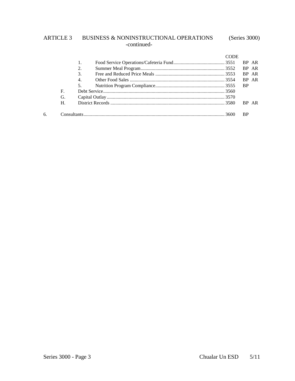# ARTICLE 3 BUSINESS & NONINSTRUCTIONAL OPERATIONS (Series 3000) -continued-

|    |    |    | CODE      |           |       |
|----|----|----|-----------|-----------|-------|
|    |    | 1. |           |           | BP AR |
|    |    | 2. |           |           | BP AR |
|    |    | 3. |           |           | BP AR |
|    |    | 4. |           |           | BP AR |
|    |    | 5. | <b>BP</b> |           |       |
|    | F. |    |           |           |       |
|    | G. |    |           |           |       |
|    | Н. |    |           |           | BP AR |
| б. |    |    |           | <b>BP</b> |       |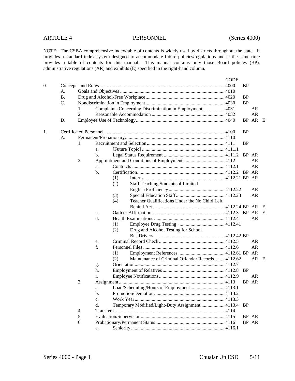|    |           |    |       |                                                          | <b>CODE</b> |           |         |   |
|----|-----------|----|-------|----------------------------------------------------------|-------------|-----------|---------|---|
| 0. |           |    |       |                                                          |             | <b>BP</b> |         |   |
|    | А.        |    |       |                                                          |             |           |         |   |
|    | <b>B.</b> |    |       |                                                          |             | <b>BP</b> |         |   |
|    | C.        |    |       |                                                          |             | <b>BP</b> |         |   |
|    |           | 1. |       | Complaints Concerning Discrimination in Employment 4031  |             |           | AR      |   |
|    |           | 2. |       |                                                          |             |           | AR      |   |
|    | D.        |    |       |                                                          |             |           | BP AR E |   |
| 1. |           |    |       |                                                          |             | <b>BP</b> |         |   |
|    | А.        |    |       |                                                          |             |           |         |   |
|    |           | 1. |       |                                                          |             | <b>BP</b> |         |   |
|    |           |    | a.    |                                                          |             |           |         |   |
|    |           |    | b.    |                                                          |             |           | BP AR   |   |
|    |           | 2. |       |                                                          |             |           | AR      |   |
|    |           |    | a.    |                                                          |             |           | AR      |   |
|    |           |    | $b$ . |                                                          |             |           | BP AR   |   |
|    |           |    |       | (1)                                                      |             |           |         |   |
|    |           |    |       | <b>Staff Teaching Students of Limited</b><br>(2)         |             |           |         |   |
|    |           |    |       |                                                          |             |           | AR      |   |
|    |           |    |       | (3)                                                      |             |           | AR      |   |
|    |           |    |       | Teacher Qualifications Under the No Child Left<br>(4)    |             |           |         |   |
|    |           |    |       |                                                          |             |           |         |   |
|    |           |    | c.    |                                                          |             |           |         | E |
|    |           |    | d.    |                                                          |             |           | AR      |   |
|    |           |    |       | (1)                                                      |             |           |         |   |
|    |           |    |       | Drug and Alcohol Testing for School<br>(2)               |             |           |         |   |
|    |           |    |       |                                                          |             |           |         |   |
|    |           |    | e.    |                                                          |             |           | AR      |   |
|    |           |    | f.    |                                                          |             |           | AR      |   |
|    |           |    |       | (1)                                                      |             |           | AR      |   |
|    |           |    |       | Maintenance of Criminal Offender Records  4112.62<br>(2) |             |           | AR E    |   |
|    |           |    | g.    |                                                          |             |           |         |   |
|    |           |    | h.    |                                                          |             | <b>BP</b> |         |   |
|    |           |    | i.    |                                                          |             |           | AR      |   |
|    |           | 3. |       |                                                          |             |           | BP AR   |   |
|    |           |    | a.    | Load/Scheduling/Hours of Employment 4113.1               |             |           |         |   |
|    |           |    | b.    |                                                          |             |           |         |   |
|    |           |    | c.    |                                                          |             |           |         |   |
|    |           |    | d.    | Temporary Modified/Light-Duty Assignment  4113.4         |             | <b>BP</b> |         |   |
|    |           | 4. |       |                                                          |             |           |         |   |
|    |           | 5. |       |                                                          |             |           | BP AR   |   |
|    |           | 6. |       |                                                          |             |           | BP AR   |   |
|    |           |    | a.    |                                                          |             |           |         |   |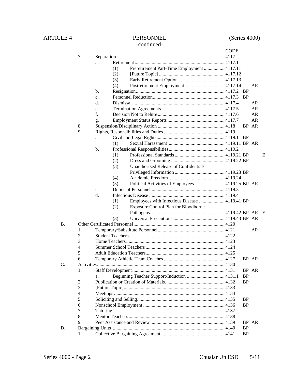# ARTICLE 4 PERSONNEL (Series 4000)

# -continued-

|    |                  |                |     |                                                 | <b>CODE</b> |           |       |   |
|----|------------------|----------------|-----|-------------------------------------------------|-------------|-----------|-------|---|
|    | 7.               |                |     |                                                 |             |           |       |   |
|    |                  | a.             |     |                                                 |             |           |       |   |
|    |                  |                | (1) | Preretirement Part-Time Employment  4117.11     |             |           |       |   |
|    |                  |                | (2) |                                                 |             |           |       |   |
|    |                  |                | (3) |                                                 |             |           |       |   |
|    |                  |                | (4) |                                                 |             |           | AR.   |   |
|    |                  | $\mathbf{b}$ . |     |                                                 |             |           |       |   |
|    |                  | $\mathbf{c}$ . |     |                                                 |             | - BP      |       |   |
|    |                  | d.             |     |                                                 |             |           | AR.   |   |
|    |                  | e.             |     |                                                 |             |           | AR    |   |
|    |                  | f.             |     |                                                 |             |           | AR    |   |
|    |                  | g.             |     |                                                 |             |           | AR    |   |
|    | 8.               |                |     |                                                 |             |           | BP AR |   |
|    | 9.               |                |     |                                                 |             |           |       |   |
|    |                  | a.             |     |                                                 |             |           |       |   |
|    |                  |                | (1) |                                                 |             |           |       |   |
|    |                  | $\mathbf{b}$ . |     |                                                 |             |           |       |   |
|    |                  |                | (1) |                                                 |             |           |       | E |
|    |                  |                | (2) |                                                 |             |           |       |   |
|    |                  |                | (3) | Unauthorized Release of Confidential/           |             |           |       |   |
|    |                  |                |     |                                                 |             |           |       |   |
|    |                  |                | (4) |                                                 |             |           |       |   |
|    |                  |                | (5) | Political Activities of Employees 4119.25 BP AR |             |           |       |   |
|    |                  | $C_{\bullet}$  |     |                                                 |             |           |       |   |
|    |                  | d.             |     |                                                 |             |           |       |   |
|    |                  |                | (1) | Employees with Infectious Disease  4119.41 BP   |             |           |       |   |
|    |                  |                | (2) | <b>Exposure Control Plan for Bloodborne</b>     |             |           |       |   |
|    |                  |                |     |                                                 |             |           |       |   |
|    |                  |                | (3) |                                                 |             |           |       |   |
| B. |                  |                |     |                                                 |             |           |       |   |
|    | 1.               |                |     |                                                 |             |           | AR    |   |
|    | 2.               |                |     |                                                 |             |           |       |   |
|    | 3.               |                |     |                                                 |             |           |       |   |
|    | 4.               |                |     |                                                 |             |           |       |   |
|    | 5.               |                |     |                                                 |             |           |       |   |
|    | 6.               |                |     |                                                 |             |           | BP AR |   |
| C. |                  |                |     |                                                 |             |           |       |   |
|    | 1.               |                |     |                                                 |             |           | BP AR |   |
|    | 2.               | a.             |     | Beginning Teacher Support/Induction  4131.1     |             | <b>BP</b> |       |   |
|    | 3.               |                |     |                                                 |             | <b>BP</b> |       |   |
|    | $\overline{4}$ . |                |     |                                                 |             |           |       |   |
|    | 5.               |                |     |                                                 |             | <b>BP</b> |       |   |
|    | 6.               |                |     |                                                 |             | <b>BP</b> |       |   |
|    | 7.               |                |     |                                                 |             |           |       |   |
|    | 8.               |                |     |                                                 |             |           |       |   |
|    | 9.               |                |     |                                                 |             |           | BP AR |   |
| D. |                  |                |     |                                                 |             | <b>BP</b> |       |   |
|    | 1.               |                |     |                                                 |             | <b>BP</b> |       |   |
|    |                  |                |     |                                                 |             |           |       |   |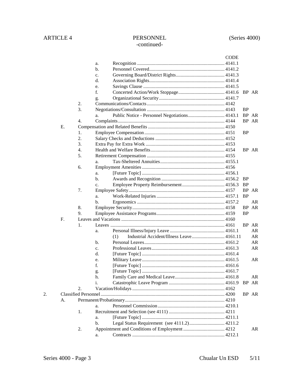|    |    |                  |    | <b>CODE</b>                                      |               |       |
|----|----|------------------|----|--------------------------------------------------|---------------|-------|
|    |    |                  | a. |                                                  |               |       |
|    |    |                  | b. |                                                  |               |       |
|    |    |                  | c. |                                                  |               |       |
|    |    |                  | d. |                                                  |               |       |
|    |    |                  | e. |                                                  |               |       |
|    |    |                  | f. |                                                  |               | BP AR |
|    |    |                  | g. |                                                  |               |       |
|    |    | 2.               |    |                                                  |               |       |
|    |    | 3.               |    |                                                  | BP            |       |
|    |    |                  | a. |                                                  |               | BP AR |
|    |    | $\overline{4}$ . |    |                                                  |               | BP AR |
|    | E. |                  |    |                                                  |               |       |
|    |    | 1.               |    |                                                  | BP            |       |
|    |    | 2.               |    |                                                  |               |       |
|    |    | 3.               |    |                                                  |               |       |
|    |    | $\overline{4}$ . |    |                                                  |               | BP AR |
|    |    | 5.               |    |                                                  |               |       |
|    |    |                  | a. |                                                  |               |       |
|    |    | 6.               |    |                                                  |               |       |
|    |    |                  | a. |                                                  |               |       |
|    |    |                  | b. |                                                  | <b>BP</b>     |       |
|    |    |                  | c. |                                                  | <sub>BP</sub> |       |
|    |    | 7.               |    |                                                  |               | BP AR |
|    |    |                  | a. |                                                  | <b>BP</b>     |       |
|    |    |                  | b. |                                                  |               | AR    |
|    |    | 8.               |    |                                                  |               | BP AR |
|    |    | 9.               |    |                                                  | <b>BP</b>     |       |
|    | F. |                  |    |                                                  |               |       |
|    |    | 1.               |    |                                                  |               | BP AR |
|    |    |                  | a. |                                                  |               | AR    |
|    |    |                  |    | Industrial Accident/Illness Leave 4161.11<br>(1) |               | AR    |
|    |    |                  | b. |                                                  |               | AR    |
|    |    |                  | c. |                                                  |               | AR    |
|    |    |                  | d. |                                                  |               |       |
|    |    |                  | e. |                                                  |               | AR    |
|    |    |                  | f. |                                                  |               |       |
|    |    |                  | g. |                                                  |               |       |
|    |    |                  | h. |                                                  |               | AR    |
|    |    |                  | i. |                                                  |               | BP AR |
|    |    | 2.               |    |                                                  |               |       |
| 2. |    |                  |    |                                                  |               | BP AR |
|    | А. |                  |    |                                                  |               |       |
|    |    |                  | a. |                                                  |               |       |
|    |    | 1.               |    |                                                  |               |       |
|    |    |                  | a. |                                                  |               |       |
|    |    |                  | b. | Legal Status Requirement (see 4111.2) 4211.2     |               |       |
|    |    | 2.               |    |                                                  |               | AR    |
|    |    |                  | a. |                                                  |               |       |
|    |    |                  |    |                                                  |               |       |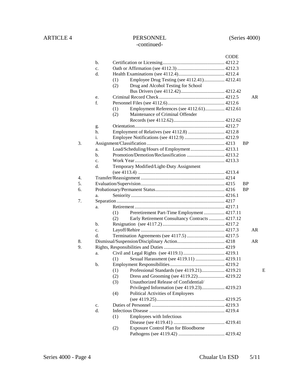### CODE b. Certification or Licensing................................................... 4212.2 c. Oath or Affirmation (see 4112.3)....................................... 4212.3 d. Health Examinations (see 4112.4)...................................... 4212.4 (1) Employee Drug Testing (see 4112.41)................. 4212.41 (2) Drug and Alcohol Testing for School Bus Drivers (see 4112.42).................................... 4212.42 e. Criminal Record Check...................................................... 4212.5 AR f. Personnel Files (see 4112.6)............................................... 4212.6 (1) Employment References (see 4112.61)................ 4212.61 (2) Maintenance of Criminal Offender Records (see 4112.62).......................................... 4212.62 g. Orientation.......................................................................... 4212.7 h. Employment of Relatives (see 4112.8) .............................. 4212.8 i. Employee Notifications (see 4112.9) ................................. 4212.9 3. Assignment/Classification ................................................................ 4213 BP a. Load/Scheduling/Hours of Employment............................ 4213.1 b. Promotion/Demotion/Reclassification ............................... 4213.2 c. Work Year.......................................................................... 4213.3 d. Temporary Modified/Light-Duty Assignment (see 4113.4) ....................................................................... 4213.4 4. Transfer/Reassignment ..................................................................... 4214 5. Evaluation/Supervision..................................................................... 4215 BP 6. Probationary/Permanent Status......................................................... 4216 BP a. Seniority ............................................................................. 4216.1 7. Separation......................................................................................... 4217 a. Retirement .......................................................................... 4217.1 (1) Preretirement Part-Time Employment ................. 4217.11 (2) Early Retirement Consultancy Contracts............. 4217.12 b. Resignation (see 4117.2)................................................... 4217.2 c. Layoff/Rehire ..................................................................... 4217.3 AR d. Termination Agreements (see 4117.5) ............................... 4217.5 8. Dismissal/Suspension/Disciplinary Action....................................... 4218 AR 9. Rights, Responsibilities and Duties.................................................. 4219 a. Civil and Legal Rights (see 4119.1).................................. 4219.1 (1) Sexual Harassment (see 4119.11) ........................ 4219.11 b. Employment Responsibilities............................................. 4219.2 (1) Professional Standards (see 4119.21)................... 4219.21 E (2) Dress and Grooming (see 4119.22)...................... 4219.22 (3) Unauthorized Release of Confidential/ Privileged Information (see 4119.23)................... 4219.23 (4) Political Activities of Employees (see 4119.25)........................................................ 4219.25 c. Duties of Personnel ............................................................ 4219.3 d. Infectious Disease .............................................................. 4219.4 (1) Employees with Infectious Disease (see 4119.41) .......................................... 4219.41 (2) Exposure Control Plan for Bloodborne Pathogens (see 4119.42) ...................................... 4219.42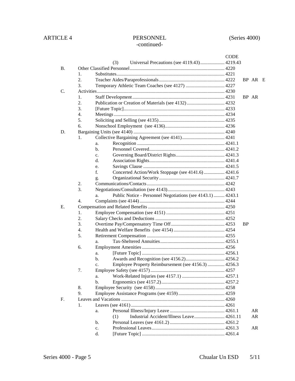|           |                                                                   | <b>CODE</b> |           |    |  |
|-----------|-------------------------------------------------------------------|-------------|-----------|----|--|
|           | Universal Precautions (see 4119.43) 4219.43<br>(3)                |             |           |    |  |
| <b>B.</b> |                                                                   |             |           |    |  |
|           | 1.                                                                |             |           |    |  |
|           | 2.                                                                |             | BP AR E   |    |  |
|           | 3.                                                                |             |           |    |  |
| C.        |                                                                   |             |           |    |  |
|           | 1.                                                                |             | BP AR     |    |  |
|           | 2.<br>Publication or Creation of Materials (see 4132)  4232       |             |           |    |  |
|           | 3.                                                                |             |           |    |  |
|           | $\overline{4}$ .                                                  |             |           |    |  |
|           | 5.                                                                |             |           |    |  |
|           | 6.                                                                |             |           |    |  |
| D.        |                                                                   |             |           |    |  |
|           | 1.                                                                |             |           |    |  |
|           | a.                                                                |             |           |    |  |
|           | $b$                                                               |             |           |    |  |
|           | c.                                                                |             |           |    |  |
|           | d.                                                                |             |           |    |  |
|           | e.                                                                |             |           |    |  |
|           | f.<br>Concerted Action/Work Stoppage (see 4141.6)  4241.6         |             |           |    |  |
|           | g.                                                                |             |           |    |  |
|           | 2.                                                                |             |           |    |  |
|           | 3.                                                                |             |           |    |  |
|           | Public Notice - Personnel Negotiations (see 4143.1)  4243.1<br>a. |             |           |    |  |
|           | $\overline{4}$ .                                                  |             |           |    |  |
| Е.        |                                                                   |             |           |    |  |
|           | 1.                                                                |             |           |    |  |
|           | 2.                                                                |             |           |    |  |
|           | 3.                                                                |             | <b>BP</b> |    |  |
|           | 4.                                                                |             |           |    |  |
|           | 5.                                                                |             |           |    |  |
|           | a.                                                                |             |           |    |  |
|           | 6.                                                                |             |           |    |  |
|           | a.                                                                |             |           |    |  |
|           | b.                                                                |             |           |    |  |
|           | Employee Property Reimbursement (see 4156.3)  4256.3<br>c.        |             |           |    |  |
|           | 7.                                                                |             |           |    |  |
|           | a.<br>$b$                                                         |             |           |    |  |
|           | 8.                                                                |             |           |    |  |
|           | 9.                                                                |             |           |    |  |
| F.        |                                                                   |             |           |    |  |
|           | 1.                                                                |             |           |    |  |
|           |                                                                   |             |           | AR |  |
|           | a.<br>Industrial Accident/Illness Leave 4261.11<br>(1)            |             |           | AR |  |
|           | b.                                                                |             |           |    |  |
|           | c.                                                                |             |           | AR |  |
|           | d.                                                                |             |           |    |  |
|           |                                                                   |             |           |    |  |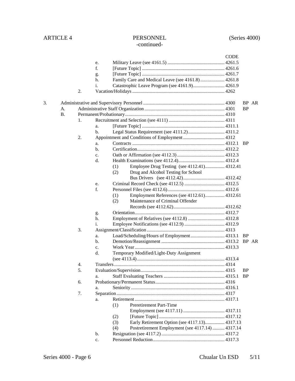### CODE e. Military Leave (see 4161.5) ............................................... 4261.5 f. [Future Topic] .................................................................... 4261.6 g. [Future Topic] .................................................................... 4261.7 h. Family Care and Medical Leave (see 4161.8).................... 4261.8 i. Catastrophic Leave Program (see 4161.9).......................... 4261.9 2. Vacation/Holidays............................................................................ 4262 3. Administrative and Supervisory Personnel ................................................................... 4300 BP AR A. Administrative Staff Organization .................................................................. 4301 BP B. Permanent/Probationary.................................................................................. 4310 1. Recruitment and Selection (see 4111) .............................................. 4311 a. [Future Topic] .................................................................... 4311.1 b. Legal Status Requirement (see 4111.2).............................. 4311.2 2. Appointment and Conditions of Employment .................................. 4312 a. Contracts ............................................................................ 4312.1 BP b. Certification........................................................................ 4312.2 c. Oath or Affirmation (see 4112.3)....................................... 4312.3 d. Health Examinations (see 4112.4)...................................... 4312.4 (1) Employee Drug Testing (see 4112.41)................ 4312.41 (2) Drug and Alcohol Testing for School Bus Drivers (see 4112.42).................................. 4312.42 e. Criminal Record Check (see 4112.5) ................................. 4312.5 f. Personnel Files (see 4112.6)............................................... 4312.6 (1) Employment References (see 4112.61)................ 4312.61 (2) Maintenance of Criminal Offender Records (see 4112.62).......................................... 4312.62 g. Orientation.......................................................................... 4312.7 h. Employment of Relatives (see 4112.8) .............................. 4312.8 i. Employee Notifications (see 4112.9) ................................. 4312.9 3. Assignment/Classification ................................................................ 4313 a. Load/Scheduling/Hours of Employment............................ 4313.1 BP b. Demotion/Reassignment .................................................... 4313.2 BP AR c. Work Year.......................................................................... 4313.3 d. Temporary Modified/Light-Duty Assignment (see 4113.4)........................................................................ 4313.4 4. Transfers........................................................................................... 4314 5. Evaluation/Supervision..................................................................... 4315 BP a. Staff Evaluating Teachers .................................................. 4315.1 BP 6. Probationary/Permanent Status......................................................... 4316 a. Seniority ............................................................................. 4316.1 7. Separation......................................................................................... 4317 a. Retirement .......................................................................... 4317.1 (1) Preretirement Part-Time Employment (see 4117.11) .................................. 4317.11 (2) [Future Topic]...................................................... 4317.12 (3) Early Retirement Option (see 4117.13)................ 4317.13 (4) Postretirement Employment (see 4117.14) .......... 4317.14 b. Resignation (see 4117.2).................................................... 4317.2 c. Personnel Reduction........................................................... 4317.3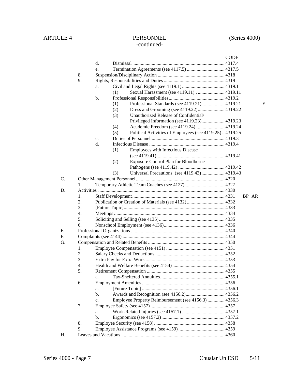### **CODE** d. Dismissal ........................................................................... 4317.4 e. Termination Agreements (see 4117.5) ............................... 4317.5 8. Suspension/Disciplinary Action ....................................................... 4318 9. Rights, Responsibilities and Duties.................................................. 4319 a. Civil and Legal Rights (see 4119.1)................................... 4319.1 (1) Sexual Harassment (see 4119.11) . ...................... 4319.11 b. Professional Responsibilities.............................................. 4319.2 (1) Professional Standards (see 4119.21)................... 4319.21 E (2) Dress and Grooming (see 4119.22)...................... 4319.22 (3) Unauthorized Release of Confidential/ Privileged Information (see 4119.23)................... 4319.23 (4) Academic Freedom (see 4119.24)........................ 4319.24 (5) Political Activities of Employees (see 4119.25) .. 4319.25 c. Duties of Personnel ............................................................ 4319.3 d. Infectious Disease .............................................................. 4319.4 (1) Employees with Infectious Disease (see 4119.41) ....................................................... 4319.41 (2) Exposure Control Plan for Bloodborne Pathogens (see 4119.42) ...................................... 4319.42 (3) Universal Precautions (see 4119.43)................... 4319.43 C. Other Management Personnel......................................................................... 4320 1. Temporary Athletic Team Coaches (see 4127) ................................ 4327 D. Activities ........................................................................................................ 4330 1. Staff Development............................................................................ 4331 BP AR 2. Publication or Creation of Materials (see 4132)............................... 4332 3. [Future Topic]................................................................................... 4333 4. Meetings........................................................................................... 4334 5. Soliciting and Selling (see 4135)...................................................... 4335 6. Nonschool Employment (see 4136).................................................. 4336 E. Professional Organizations ............................................................................. 4340 F. Complaints (see 4144) .................................................................................... 4344 G. Compensation and Related Benefits ............................................................... 4350 1. Employee Compensation (see 4151) ................................................ 4351 2. Salary Checks and Deductions ......................................................... 4352 3. Extra Pay for Extra Work ................................................................. 4353 4. Health and Welfare Benefits (see 4154)........................................... 4354 5. Retirement Compensation ................................................................ 4355 a. Tax-Sheltered Annuities..................................................... 4355.1 6. Employment Amenities.................................................................... 4356 a. [Future Topic] .................................................................... 4356.1 b. Awards and Recognition (see 4156.2)................................ 4356.2 c. Employee Property Reimbursement (see 4156.3) .............. 4356.3 7. Employee Safety (see 4157)............................................................. 4357 a. Work-Related Injuries (see 4157.1) ................................... 4357.1 b. Ergonomics (see 4157.2).................................................... 4357.2 8. Employee Security (see 4158).......................................................... 4358 9. Employee Assistance Programs (see 4159)...................................... 4359 H. Leaves and Vacations ..................................................................................... 4360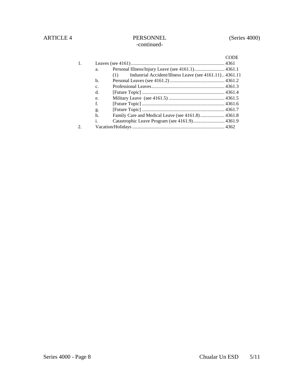|    |                |                                                               | <b>CODE</b> |
|----|----------------|---------------------------------------------------------------|-------------|
|    |                |                                                               |             |
| 1. |                |                                                               |             |
|    | a.             | Personal Illness/Injury Leave (see 4161.1) 4361.1             |             |
|    |                | Industrial Accident/Illness Leave (see 4161.11)4361.11<br>(1) |             |
|    | $\mathbf{b}$ . |                                                               |             |
|    | C <sub>1</sub> |                                                               |             |
|    | d.             |                                                               |             |
|    | e.             |                                                               |             |
|    | f.             |                                                               |             |
|    | g.             |                                                               |             |
|    | h.             |                                                               |             |
|    | i.             |                                                               |             |
| 2. |                |                                                               |             |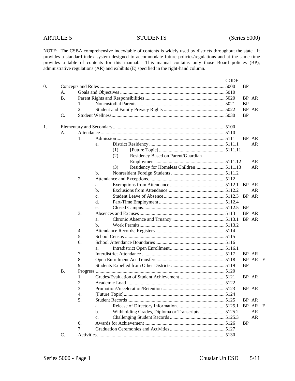|    |           |    |                |                                                    | <b>CODE</b> |           |           |  |
|----|-----------|----|----------------|----------------------------------------------------|-------------|-----------|-----------|--|
| 0. |           |    |                |                                                    |             | <b>BP</b> |           |  |
|    | А.        |    |                |                                                    |             |           |           |  |
|    | <b>B.</b> |    |                |                                                    |             |           | BP AR     |  |
|    |           | 1. |                |                                                    |             | <b>BP</b> |           |  |
|    |           | 2. |                |                                                    |             |           | BP AR     |  |
|    | C.        |    |                |                                                    |             | <b>BP</b> |           |  |
| 1. |           |    |                |                                                    |             |           |           |  |
|    | А.        |    |                |                                                    |             |           |           |  |
|    |           | 1. |                |                                                    |             |           | BP AR     |  |
|    |           |    | a.             |                                                    |             |           | AR        |  |
|    |           |    | (1)            |                                                    |             |           |           |  |
|    |           |    | (2)            | Residency Based on Parent/Guardian                 |             |           |           |  |
|    |           |    |                |                                                    |             |           | AR        |  |
|    |           |    | (3)            |                                                    |             |           | <b>AR</b> |  |
|    |           |    | b.             |                                                    |             |           |           |  |
|    |           | 2. |                |                                                    |             |           |           |  |
|    |           |    | a.             |                                                    |             |           | BP AR     |  |
|    |           |    | b.             |                                                    |             |           | AR        |  |
|    |           |    | $\mathbf{c}$ . |                                                    |             |           | BP AR     |  |
|    |           |    | d.             |                                                    |             |           |           |  |
|    |           |    | e.             |                                                    |             | <b>BP</b> |           |  |
|    |           | 3. |                |                                                    |             |           | BP AR     |  |
|    |           |    | a.             |                                                    |             |           | BP AR     |  |
|    |           |    | b.             |                                                    |             |           |           |  |
|    |           | 4. |                |                                                    |             |           |           |  |
|    |           | 5. |                |                                                    |             |           |           |  |
|    |           | 6. |                |                                                    |             |           |           |  |
|    |           |    | a.             |                                                    |             |           |           |  |
|    |           | 7. |                |                                                    |             |           | BP AR     |  |
|    |           | 8. |                |                                                    |             |           | BP AR E   |  |
|    |           | 9. |                |                                                    |             | <b>BP</b> |           |  |
|    | В.        |    |                |                                                    |             |           |           |  |
|    |           | 1. |                |                                                    |             |           | BP AR     |  |
|    |           | 2. |                |                                                    |             |           |           |  |
|    |           | 3. |                |                                                    |             |           | BP AR     |  |
|    |           | 4. |                |                                                    |             |           |           |  |
|    |           | 5. |                |                                                    |             |           | BP AR     |  |
|    |           |    | a.             |                                                    |             |           | BP AR E   |  |
|    |           |    | b.             | Withholding Grades, Diploma or Transcripts  5125.2 |             |           | AR        |  |
|    |           |    | c.             |                                                    |             |           | AR        |  |
|    |           | 6. |                |                                                    |             | <b>BP</b> |           |  |
|    |           | 7. |                |                                                    |             |           |           |  |
|    | C.        |    |                |                                                    |             |           |           |  |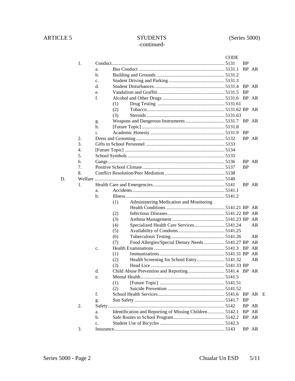# ARTICLE 5 STUDENTS (Series 5000) -continued-

|    |    |    |                                                            | <b>CODE</b> |               |         |  |
|----|----|----|------------------------------------------------------------|-------------|---------------|---------|--|
|    | 1. |    |                                                            |             | <b>BP</b>     |         |  |
|    |    | a. |                                                            |             |               | BP AR   |  |
|    |    | b. |                                                            |             |               |         |  |
|    |    | c. |                                                            |             |               |         |  |
|    |    | d. |                                                            |             |               | BP AR   |  |
|    |    | e. |                                                            |             | <b>BP</b>     |         |  |
|    |    | f. |                                                            |             |               |         |  |
|    |    |    | (1)                                                        |             |               |         |  |
|    |    |    | (2)                                                        |             |               |         |  |
|    |    |    | (3)                                                        |             |               |         |  |
|    |    | g. |                                                            |             |               |         |  |
|    |    | h. |                                                            |             |               |         |  |
|    |    | i. |                                                            |             | <sub>BP</sub> |         |  |
|    | 2. |    |                                                            |             |               | BP AR   |  |
|    | 3. |    |                                                            |             |               |         |  |
|    | 4. |    |                                                            |             |               |         |  |
|    | 5. |    |                                                            |             |               |         |  |
|    | 6. |    |                                                            |             |               | BP AR   |  |
|    | 7. |    |                                                            |             | <b>BP</b>     |         |  |
|    | 8. |    |                                                            |             |               |         |  |
| D. |    |    |                                                            |             |               |         |  |
|    | 1. |    |                                                            |             |               | BP AR   |  |
|    |    | a. |                                                            |             |               |         |  |
|    |    | b. |                                                            |             |               |         |  |
|    |    |    | Administering Medication and Monitoring<br>(1)             |             |               |         |  |
|    |    |    |                                                            |             |               |         |  |
|    |    |    | (2)                                                        |             |               |         |  |
|    |    |    | (3)                                                        |             |               |         |  |
|    |    |    | Specialized Health Care Services 5141.24<br>(4)            |             |               | AR      |  |
|    |    |    | (5)                                                        |             |               |         |  |
|    |    |    | (6)                                                        |             |               | AR      |  |
|    |    |    | Food Allergies/Special Dietary Needs  5141.27 BP AR<br>(7) |             |               |         |  |
|    |    | c. |                                                            |             |               | BP AR   |  |
|    |    |    | (1)                                                        |             |               |         |  |
|    |    |    | (2)                                                        |             |               | AR      |  |
|    |    |    | (3)                                                        |             |               |         |  |
|    |    | d. |                                                            |             |               |         |  |
|    |    | e. |                                                            |             |               |         |  |
|    |    |    | (1)                                                        |             |               |         |  |
|    |    |    | (2)                                                        |             |               |         |  |
|    |    | f. |                                                            |             |               | BP AR E |  |
|    |    | g. |                                                            |             | <b>BP</b>     |         |  |
|    | 2. |    |                                                            |             |               | BP AR   |  |
|    |    | a. | Identification and Reporting of Missing Children 5142.1    |             |               | BP AR   |  |
|    |    | b. |                                                            |             |               | BP AR   |  |
|    |    | c. |                                                            |             |               |         |  |
|    | 3. |    |                                                            |             |               | BP AR   |  |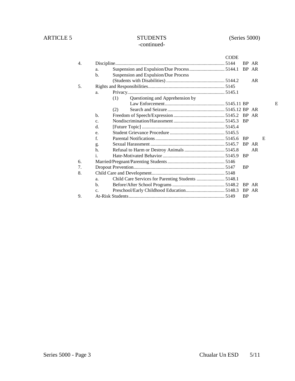# ARTICLE 5 STUDENTS (Series 5000) -continued-

|     |                |                                                    | <b>CODE</b> |           |       |   |   |
|-----|----------------|----------------------------------------------------|-------------|-----------|-------|---|---|
| 4.  |                |                                                    |             |           | BP AR |   |   |
|     | a.             |                                                    |             | BP AR     |       |   |   |
|     | $b$            | Suspension and Expulsion/Due Process               |             |           |       |   |   |
|     |                |                                                    |             |           | AR    |   |   |
| .5. |                |                                                    |             |           |       |   |   |
|     | a.             |                                                    |             |           |       |   |   |
|     |                | Questioning and Apprehension by<br>(1)             |             |           |       |   |   |
|     |                |                                                    |             |           |       |   | Е |
|     |                | (2)                                                |             |           |       |   |   |
|     | $h_{\cdot}$    |                                                    |             |           |       |   |   |
|     | C <sub>1</sub> |                                                    |             | <b>BP</b> |       |   |   |
|     | $\mathbf{d}$ . |                                                    |             |           |       |   |   |
|     | e.             |                                                    |             |           |       |   |   |
|     | $f_{\cdot}$    |                                                    |             |           |       | E |   |
|     | g.             |                                                    |             | BP AR     |       |   |   |
|     | h.             |                                                    |             |           | AR    |   |   |
|     | $\mathbf{i}$ . |                                                    |             | <b>BP</b> |       |   |   |
| 6.  |                |                                                    |             |           |       |   |   |
| 7.  |                |                                                    |             | <b>BP</b> |       |   |   |
| 8.  |                |                                                    |             |           |       |   |   |
|     | a.             | Child Care Services for Parenting Students  5148.1 |             |           |       |   |   |
|     | $\mathbf{b}$ . |                                                    |             |           |       |   |   |
|     | c.             |                                                    |             | BP AR     |       |   |   |
| 9.  |                |                                                    |             | <b>BP</b> |       |   |   |
|     |                |                                                    |             |           |       |   |   |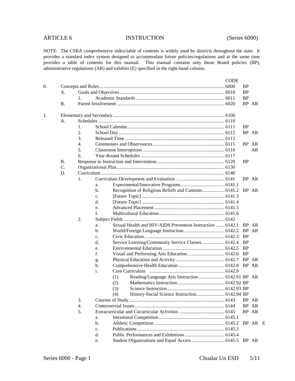# ARTICLE 6 INSTRUCTION (Series 6000)

|           |                  |                                                                 | <b>CODE</b> |           |         |  |
|-----------|------------------|-----------------------------------------------------------------|-------------|-----------|---------|--|
|           |                  |                                                                 |             | <b>BP</b> |         |  |
| A.        |                  |                                                                 |             | <b>BP</b> |         |  |
|           | 1.               |                                                                 |             | <b>BP</b> |         |  |
| <b>B.</b> |                  |                                                                 |             |           | BP AR   |  |
|           |                  |                                                                 |             |           |         |  |
| А.        |                  |                                                                 |             |           |         |  |
|           | 1.               |                                                                 |             | <b>BP</b> |         |  |
|           | 2.               |                                                                 |             |           | BP AR   |  |
|           | 3.               |                                                                 |             |           |         |  |
|           | $\overline{4}$ . |                                                                 |             |           | BP AR   |  |
|           | 5.               |                                                                 |             |           | AR      |  |
|           | 6.               |                                                                 |             |           |         |  |
| <b>B.</b> |                  |                                                                 |             | <b>BP</b> |         |  |
| C.        |                  |                                                                 |             |           |         |  |
| D.        |                  |                                                                 |             |           |         |  |
|           | 1.               |                                                                 |             |           | BP AR   |  |
|           |                  | a.                                                              |             |           |         |  |
|           |                  | Recognition of Religious Beliefs and Customs 6141.2<br>b.       |             |           | BP AR   |  |
|           |                  | c.                                                              |             |           |         |  |
|           |                  | d.                                                              |             |           |         |  |
|           |                  | e.                                                              |             |           |         |  |
|           |                  | f.                                                              |             |           |         |  |
|           | 2.               |                                                                 |             |           |         |  |
|           |                  | Sexual Health and HIV/AIDS Prevention Instruction  6142.1<br>a. |             |           | BP AR   |  |
|           |                  | b.                                                              |             |           | BP AR   |  |
|           |                  | c.                                                              |             | BP        |         |  |
|           |                  | Service Learning/Community Service Classes 6142.4<br>d.         |             | – BP      |         |  |
|           |                  | e.                                                              |             |           |         |  |
|           |                  | f.                                                              |             |           |         |  |
|           |                  | g.                                                              |             |           |         |  |
|           |                  | h.                                                              |             |           | BP AR   |  |
|           |                  | i.                                                              |             |           |         |  |
|           |                  | Reading/Language Arts Instruction  6142.91 BP AR<br>(1)         |             |           |         |  |
|           |                  | (2)                                                             |             |           |         |  |
|           |                  | (3)                                                             |             |           |         |  |
|           |                  | (4)                                                             |             |           |         |  |
|           | 3.               |                                                                 |             |           | BP AR   |  |
|           | 4.               |                                                                 |             |           | BP AR   |  |
|           | 5.               |                                                                 |             |           | BP AR   |  |
|           |                  | a.                                                              |             |           |         |  |
|           |                  | $b$ .                                                           |             |           | BP AR E |  |
|           |                  | c.                                                              |             |           |         |  |
|           |                  | d.                                                              |             |           |         |  |
|           |                  | e.                                                              |             |           |         |  |
|           |                  |                                                                 |             |           |         |  |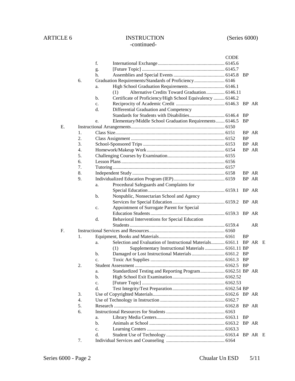# ARTICLE 6 INSTRUCTION (Series 6000) -continued-

|    |    |                |                                                            | <b>CODE</b> |           |         |  |
|----|----|----------------|------------------------------------------------------------|-------------|-----------|---------|--|
|    |    | f.             |                                                            |             |           |         |  |
|    |    | g.             |                                                            |             |           |         |  |
|    |    | h.             |                                                            |             | - BP      |         |  |
|    | 6. |                | Graduation Requirements/Standards of Proficiency 6146      |             |           |         |  |
|    |    | a.             |                                                            |             |           |         |  |
|    |    |                | Alternative Credits Toward Graduation  6146.11<br>(1)      |             |           |         |  |
|    |    | b.             | Certificate of Proficiency/High School Equivalency  6146.2 |             |           |         |  |
|    |    | $\mathbf{c}$ . |                                                            |             |           | BP AR   |  |
|    |    | d.             | Differential Graduation and Competency                     |             |           |         |  |
|    |    |                |                                                            |             | BP        |         |  |
|    |    | e.             | Elementary/Middle School Graduation Requirements 6146.5    |             | <b>BP</b> |         |  |
| E. |    |                |                                                            |             |           |         |  |
|    | 1. |                |                                                            |             |           | BP AR   |  |
|    | 2. |                |                                                            |             | <b>BP</b> |         |  |
|    | 3. |                |                                                            |             |           | BP AR   |  |
|    | 4. |                |                                                            |             |           | BP AR   |  |
|    | 5. |                |                                                            |             |           |         |  |
|    | 6. |                |                                                            |             |           |         |  |
|    | 7. |                |                                                            |             |           |         |  |
|    | 8. |                |                                                            |             |           | BP AR   |  |
|    | 9. |                |                                                            |             |           | BP AR   |  |
|    |    | a.             | Procedural Safeguards and Complaints for                   |             |           |         |  |
|    |    |                |                                                            |             |           |         |  |
|    |    |                |                                                            |             |           |         |  |
|    |    | b.             | Nonpublic, Nonsectarian School and Agency                  |             |           |         |  |
|    |    |                |                                                            |             |           |         |  |
|    |    | c.             | Appointment of Surrogate Parent for Special                |             |           |         |  |
|    |    |                |                                                            |             |           |         |  |
|    |    | d.             | Behavioral Interventions for Special Education             |             |           |         |  |
|    |    |                |                                                            |             |           | AR      |  |
| F. |    |                |                                                            |             |           |         |  |
|    | 1. |                |                                                            |             | <b>BP</b> |         |  |
|    |    | a.             | Selection and Evaluation of Instructional Materials 6161.1 |             |           | BP AR E |  |
|    |    |                | Supplementary Instructional Materials  6161.11 BP<br>(1)   |             |           |         |  |
|    |    | b.             | Damaged or Lost Instructional Materials  6161.2 BP         |             |           |         |  |
|    |    | $\mathbf{c}$ . |                                                            |             | <b>BP</b> |         |  |
|    | 2. |                |                                                            |             |           |         |  |
|    |    | a.             | Standardized Testing and Reporting Program 6162.51 BP AR   |             |           |         |  |
|    |    | b.             |                                                            |             |           |         |  |
|    |    | $C_{\star}$    |                                                            |             |           |         |  |
|    |    | d.             |                                                            |             |           |         |  |
|    | 3. |                |                                                            |             |           |         |  |
|    | 4. |                |                                                            |             |           |         |  |
|    | 5. |                |                                                            |             |           | BP AR   |  |
|    | б. |                |                                                            |             |           |         |  |
|    |    | a.             |                                                            |             | <b>BP</b> |         |  |
|    |    | b.             |                                                            |             |           | BP AR   |  |
|    |    | c.             |                                                            |             |           |         |  |
|    |    | d.             |                                                            |             |           |         |  |
|    | 7. |                |                                                            |             |           |         |  |
|    |    |                |                                                            |             |           |         |  |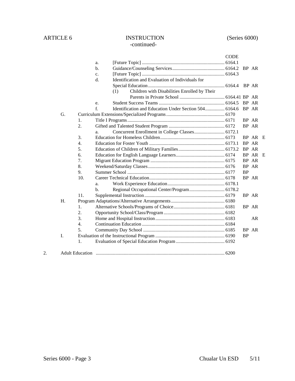# ARTICLE 6 INSTRUCTION (Series 6000) -continued-

|    |    |                  |             |                                                             | <b>CODE</b> |           |         |   |
|----|----|------------------|-------------|-------------------------------------------------------------|-------------|-----------|---------|---|
|    |    |                  | a.          |                                                             |             |           |         |   |
|    |    |                  | b.          |                                                             |             | BP AR     |         |   |
|    |    |                  | c.          |                                                             |             |           |         |   |
|    |    |                  | d.          | Identification and Evaluation of Individuals for            |             |           |         |   |
|    |    |                  |             |                                                             |             |           |         |   |
|    |    |                  |             | Children with Disabilities Enrolled by Their<br>(1)         |             |           |         |   |
|    |    |                  |             |                                                             |             |           |         |   |
|    |    |                  | e.          |                                                             |             |           |         |   |
|    |    |                  | $f_{\cdot}$ | Identification and Education Under Section 504 6164.6 BP AR |             |           |         |   |
|    | G. |                  |             |                                                             |             |           |         |   |
|    |    | 1.               |             |                                                             |             | BP AR     |         |   |
|    |    | 2.               |             |                                                             |             | BP AR     |         |   |
|    |    |                  | a.          |                                                             |             |           |         |   |
|    |    | 3.               |             |                                                             |             |           | BP AR E |   |
|    |    | 4.               |             |                                                             |             | BP AR     |         |   |
|    |    | 5.               |             |                                                             |             | BP AR     |         |   |
|    |    | 6.               |             |                                                             |             |           | BP AR   | E |
|    |    | 7.               |             |                                                             |             | BP AR     |         |   |
|    |    | 8.               |             |                                                             |             | BP AR     |         |   |
|    |    | 9.               |             |                                                             |             | <b>BP</b> |         |   |
|    |    | 10.              |             |                                                             |             | BP AR     |         |   |
|    |    |                  | a.          |                                                             |             |           |         |   |
|    |    |                  | b.          |                                                             |             |           |         |   |
|    |    | 11.              |             |                                                             |             | BP AR     |         |   |
|    | H. |                  |             |                                                             |             |           |         |   |
|    |    | 1.               |             |                                                             |             | BP AR     |         |   |
|    |    | 2.               |             |                                                             |             |           |         |   |
|    |    | 3.               |             |                                                             |             |           | AR      |   |
|    |    | $\overline{4}$ . |             |                                                             |             |           |         |   |
|    |    | 5.               |             |                                                             |             | BP AR     |         |   |
|    | I. |                  |             |                                                             |             | <b>BP</b> |         |   |
|    |    | 1.               |             |                                                             |             |           |         |   |
|    |    |                  |             |                                                             |             |           |         |   |
| 2. |    |                  |             |                                                             |             |           |         |   |
|    |    |                  |             |                                                             |             |           |         |   |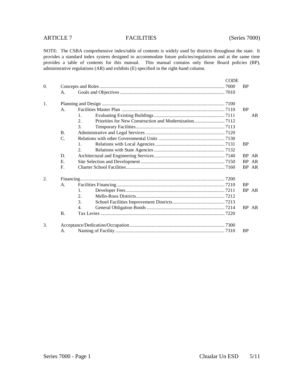# ARTICLE 7 FACILITIES (Series 7000)

|                  |                |                             | <b>CODE</b> |           |       |  |  |  |
|------------------|----------------|-----------------------------|-------------|-----------|-------|--|--|--|
| $\overline{0}$ . |                |                             |             |           |       |  |  |  |
|                  | A.             |                             |             |           |       |  |  |  |
| 1.               |                |                             |             |           |       |  |  |  |
|                  | A <sub>1</sub> |                             |             |           |       |  |  |  |
|                  |                | 1.                          |             |           | AR    |  |  |  |
|                  |                | 2.                          |             |           |       |  |  |  |
|                  |                | $\mathcal{F}_{\mathcal{L}}$ |             |           |       |  |  |  |
|                  | <b>B.</b>      |                             |             |           |       |  |  |  |
|                  | C.             |                             |             |           |       |  |  |  |
|                  |                | $1_{-}$                     |             | <b>BP</b> |       |  |  |  |
|                  |                | 2.                          |             |           |       |  |  |  |
|                  | D.             |                             |             |           | BP AR |  |  |  |
|                  | E.             |                             |             |           | BP AR |  |  |  |
|                  | F.             |                             |             |           | BP AR |  |  |  |
| 2.               |                |                             |             |           |       |  |  |  |
|                  | A.             |                             |             | <b>BP</b> |       |  |  |  |
|                  |                | $\mathbf{1}$ .              |             |           | BP AR |  |  |  |
|                  |                | 2.                          |             |           |       |  |  |  |
|                  |                | 3.                          |             |           |       |  |  |  |
|                  |                | 4.                          |             |           | BP AR |  |  |  |
|                  | <b>B.</b>      |                             |             |           |       |  |  |  |
| 3.               |                |                             |             |           |       |  |  |  |
|                  | A.             |                             |             | <b>BP</b> |       |  |  |  |
|                  |                |                             |             |           |       |  |  |  |